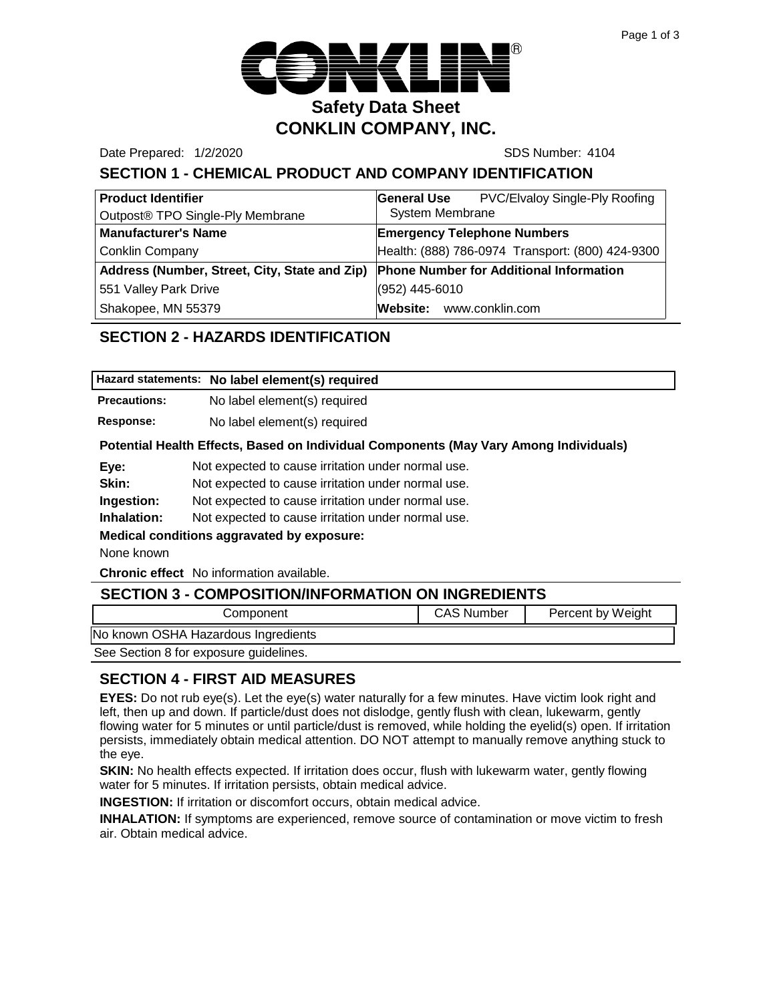

Date Prepared: 1/2/2020 SDS Number: 4104

# **SECTION 1 - CHEMICAL PRODUCT AND COMPANY IDENTIFICATION**

| <b>Product Identifier</b>                     | PVC/Elvaloy Single-Ply Roofing<br><b>General Use</b> |
|-----------------------------------------------|------------------------------------------------------|
| Outpost® TPO Single-Ply Membrane              | <b>System Membrane</b>                               |
| <b>Manufacturer's Name</b>                    | <b>Emergency Telephone Numbers</b>                   |
| <b>Conklin Company</b>                        | Health: (888) 786-0974 Transport: (800) 424-9300     |
| Address (Number, Street, City, State and Zip) | <b>Phone Number for Additional Information</b>       |
| 551 Valley Park Drive                         | (952) 445-6010                                       |
| Shakopee, MN 55379                            | Website: www.conklin.com                             |

# **SECTION 2 - HAZARDS IDENTIFICATION**

|                     | Hazard statements: No label element(s) required |
|---------------------|-------------------------------------------------|
| <b>Precautions:</b> | No label element(s) required                    |
| <b>Response:</b>    | No label element(s) required                    |

#### **Potential Health Effects, Based on Individual Components (May Vary Among Individuals)**

| Eye: | Not expected to cause irritation under normal use. |  |  |
|------|----------------------------------------------------|--|--|
|      |                                                    |  |  |

**Skin:** Not expected to cause irritation under normal use.

**Ingestion:** Not expected to cause irritation under normal use.

**Inhalation:** Not expected to cause irritation under normal use.

#### **Medical conditions aggravated by exposure:**

None known

**Chronic effect** No information available.

| <b>SECTION 3 - COMPOSITION/INFORMATION ON INGREDIENTS</b> |                   |                   |  |
|-----------------------------------------------------------|-------------------|-------------------|--|
| Component                                                 | <b>CAS Number</b> | Percent by Weight |  |
| No known OSHA Hazardous Ingredients                       |                   |                   |  |
| See Section 8 for exposure guidelines.                    |                   |                   |  |

# **SECTION 4 - FIRST AID MEASURES**

**EYES:** Do not rub eye(s). Let the eye(s) water naturally for a few minutes. Have victim look right and left, then up and down. If particle/dust does not dislodge, gently flush with clean, lukewarm, gently flowing water for 5 minutes or until particle/dust is removed, while holding the eyelid(s) open. If irritation persists, immediately obtain medical attention. DO NOT attempt to manually remove anything stuck to the eye.

**SKIN:** No health effects expected. If irritation does occur, flush with lukewarm water, gently flowing water for 5 minutes. If irritation persists, obtain medical advice.

**INGESTION:** If irritation or discomfort occurs, obtain medical advice.

**INHALATION:** If symptoms are experienced, remove source of contamination or move victim to fresh air. Obtain medical advice.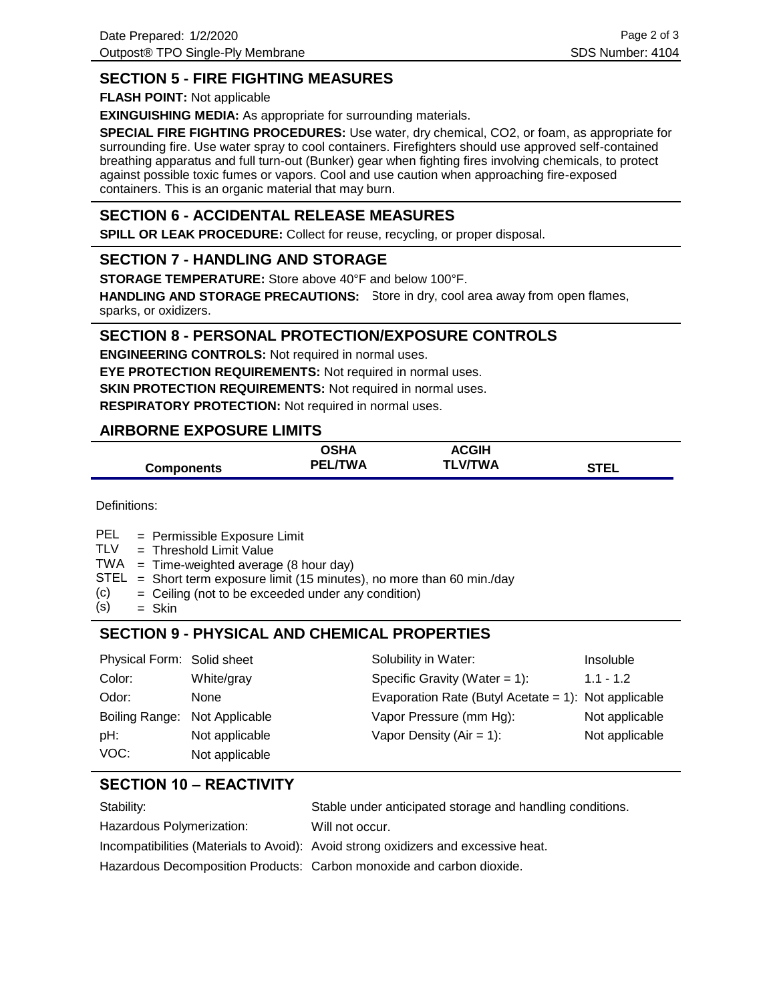# **SECTION 5 - FIRE FIGHTING MEASURES**

**FLASH POINT:** Not applicable

**EXINGUISHING MEDIA:** As appropriate for surrounding materials.

**SPECIAL FIRE FIGHTING PROCEDURES:** Use water, dry chemical, CO2, or foam, as appropriate for surrounding fire. Use water spray to cool containers. Firefighters should use approved self-contained breathing apparatus and full turn-out (Bunker) gear when fighting fires involving chemicals, to protect against possible toxic fumes or vapors. Cool and use caution when approaching fire-exposed containers. This is an organic material that may burn.

## **SECTION 6 - ACCIDENTAL RELEASE MEASURES**

**SPILL OR LEAK PROCEDURE:** Collect for reuse, recycling, or proper disposal.

### **SECTION 7 - HANDLING AND STORAGE**

**STORAGE TEMPERATURE:** Store above 40°F and below 100°F.

HANDLING AND STORAGE PRECAUTIONS: Store in dry, cool area away from open flames, sparks, or oxidizers.

### **SECTION 8 - PERSONAL PROTECTION/EXPOSURE CONTROLS**

**ENGINEERING CONTROLS:** Not required in normal uses. **EYE PROTECTION REQUIREMENTS:** Not required in normal uses. **SKIN PROTECTION REQUIREMENTS:** Not required in normal uses. **RESPIRATORY PROTECTION:** Not required in normal uses.

### **AIRBORNE EXPOSURE LIMITS**

|                   | <b>OSHA</b>    | <b>ACGIH</b>   |             |
|-------------------|----------------|----------------|-------------|
| <b>Components</b> | <b>PEL/TWA</b> | <b>TLV/TWA</b> | <b>STEL</b> |

Definitions:

- = Permissible Exposure Limit PEL
- Threshold Limit Value = TLV
- $TWA = Time-weighted average (8 hour day)$
- $STEL = Short term exposure limit (15 minutes), no more than 60 min/day$
- Ceiling (not to be exceeded under any condition) = (c)
- Skin = (s)

# **SECTION 9 - PHYSICAL AND CHEMICAL PROPERTIES**

| Physical Form: Solid sheet    |                | Solubility in Water:                                 | Insoluble      |
|-------------------------------|----------------|------------------------------------------------------|----------------|
| Color:                        | White/gray     | Specific Gravity (Water $= 1$ ):                     | $1.1 - 1.2$    |
| Odor:                         | None           | Evaporation Rate (Butyl Acetate = 1): Not applicable |                |
| Boiling Range: Not Applicable |                | Vapor Pressure (mm Hg):                              | Not applicable |
| pH:                           | Not applicable | Vapor Density ( $Air = 1$ ):                         | Not applicable |
| VOC:                          | Not applicable |                                                      |                |

# **SECTION 10 – REACTIVITY**

| Stability:                | Stable under anticipated storage and handling conditions.                          |
|---------------------------|------------------------------------------------------------------------------------|
| Hazardous Polymerization: | Will not occur.                                                                    |
|                           | Incompatibilities (Materials to Avoid): Avoid strong oxidizers and excessive heat. |
|                           | Hazardous Decomposition Products: Carbon monoxide and carbon dioxide.              |